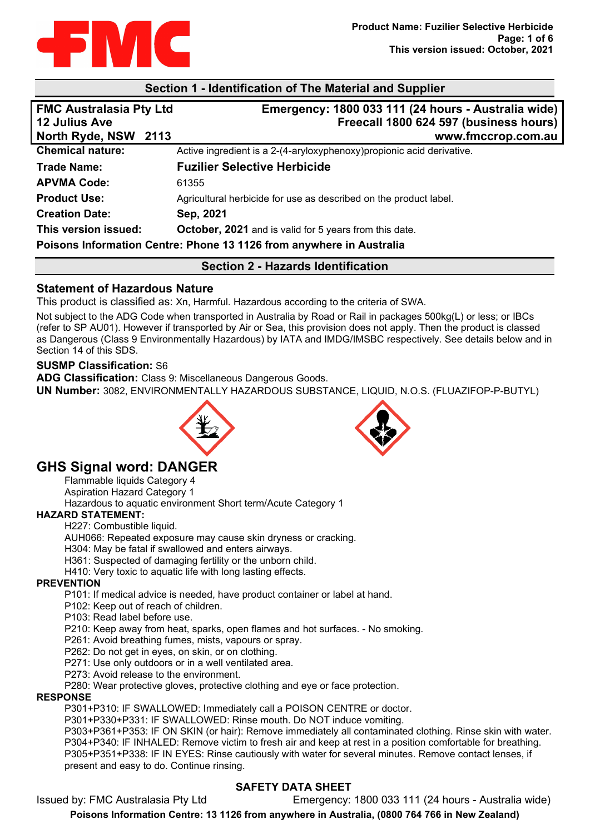

#### **Section 1 - Identification of The Material and Supplier**

| <b>FMC Australasia Pty Ltd</b> | Emergency: 1800 033 111 (24 hours - Australia wide)                    |
|--------------------------------|------------------------------------------------------------------------|
| <b>12 Julius Ave</b>           | Freecall 1800 624 597 (business hours)                                 |
| North Ryde, NSW 2113           | www.fmccrop.com.au                                                     |
| <b>Chemical nature:</b>        | Active ingredient is a 2-(4-aryloxyphenoxy) propionic acid derivative. |
| <b>Trade Name:</b>             | <b>Fuzilier Selective Herbicide</b>                                    |
| <b>APVMA Code:</b>             | 61355                                                                  |
| <b>Product Use:</b>            | Agricultural herbicide for use as described on the product label.      |
| <b>Creation Date:</b>          | Sep, 2021                                                              |
| This version issued:           | October, 2021 and is valid for 5 years from this date.                 |
|                                | Poisons Information Centre: Phone 13 1126 from anywhere in Australia   |

## **Section 2 - Hazards Identification**

#### **Statement of Hazardous Nature**

This product is classified as: Xn, Harmful. Hazardous according to the criteria of SWA.

Not subject to the ADG Code when transported in Australia by Road or Rail in packages 500kg(L) or less; or IBCs (refer to SP AU01). However if transported by Air or Sea, this provision does not apply. Then the product is classed as Dangerous (Class 9 Environmentally Hazardous) by IATA and IMDG/IMSBC respectively. See details below and in Section 14 of this SDS.

#### **SUSMP Classification:** S6

**ADG Classification:** Class 9: Miscellaneous Dangerous Goods.

**UN Number:** 3082, ENVIRONMENTALLY HAZARDOUS SUBSTANCE, LIQUID, N.O.S. (FLUAZIFOP-P-BUTYL)





# **GHS Signal word: DANGER**

Flammable liquids Category 4

Aspiration Hazard Category 1

Hazardous to aquatic environment Short term/Acute Category 1

#### **HAZARD STATEMENT:**

H227: Combustible liquid.

AUH066: Repeated exposure may cause skin dryness or cracking.

H304: May be fatal if swallowed and enters airways.

H361: Suspected of damaging fertility or the unborn child.

H410: Very toxic to aquatic life with long lasting effects.

#### **PREVENTION**

P101: If medical advice is needed, have product container or label at hand.

P102: Keep out of reach of children.

P103: Read label before use.

P210: Keep away from heat, sparks, open flames and hot surfaces. - No smoking.

P261: Avoid breathing fumes, mists, vapours or spray.

P262: Do not get in eyes, on skin, or on clothing.

P271: Use only outdoors or in a well ventilated area.

P273: Avoid release to the environment.

P280: Wear protective gloves, protective clothing and eye or face protection.

#### **RESPONSE**

P301+P310: IF SWALLOWED: Immediately call a POISON CENTRE or doctor.

P301+P330+P331: IF SWALLOWED: Rinse mouth. Do NOT induce vomiting.

P303+P361+P353: IF ON SKIN (or hair): Remove immediately all contaminated clothing. Rinse skin with water. P304+P340: IF INHALED: Remove victim to fresh air and keep at rest in a position comfortable for breathing. P305+P351+P338: IF IN EYES: Rinse cautiously with water for several minutes. Remove contact lenses, if present and easy to do. Continue rinsing.

## **SAFETY DATA SHEET**

Issued by: FMC Australasia Pty Ltd Emergency: 1800 033 111 (24 hours - Australia wide)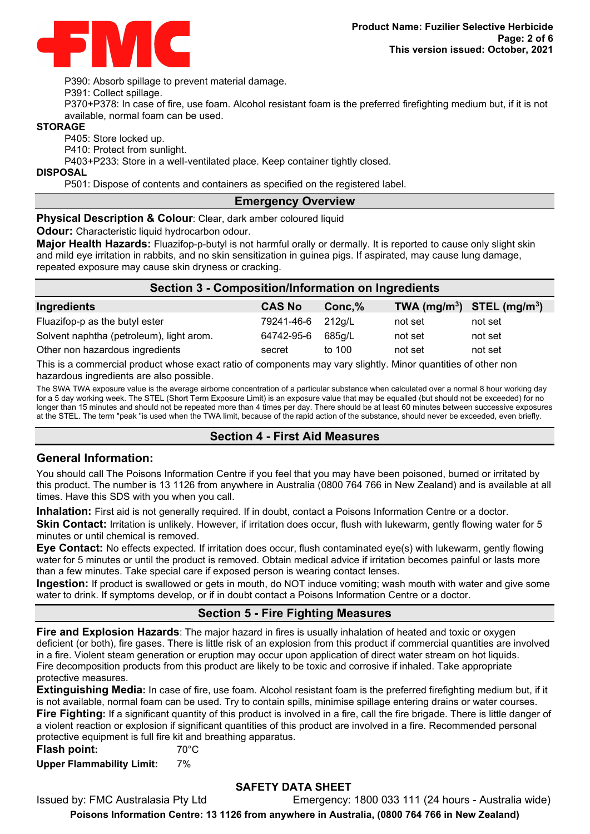

P390: Absorb spillage to prevent material damage.

P391: Collect spillage.

P370+P378: In case of fire, use foam. Alcohol resistant foam is the preferred firefighting medium but, if it is not available, normal foam can be used.

#### **STORAGE**

P405: Store locked up.

P410: Protect from sunlight.

P403+P233: Store in a well-ventilated place. Keep container tightly closed.

**DISPOSAL**

P501: Dispose of contents and containers as specified on the registered label.

#### **Emergency Overview**

**Physical Description & Colour:** Clear, dark amber coloured liquid

**Odour:** Characteristic liquid hydrocarbon odour.

**Major Health Hazards:** Fluazifop-p-butyl is not harmful orally or dermally. It is reported to cause only slight skin and mild eye irritation in rabbits, and no skin sensitization in guinea pigs. If aspirated, may cause lung damage, repeated exposure may cause skin dryness or cracking.

| <b>Section 3 - Composition/Information on Ingredients</b> |               |           |                                |         |
|-----------------------------------------------------------|---------------|-----------|--------------------------------|---------|
| Ingredients                                               | <b>CAS No</b> | $Conc.\%$ | TWA $(mg/m^3)$ STEL $(mg/m^3)$ |         |
| Fluazifop-p as the butyl ester                            | 79241-46-6    | 212q/L    | not set                        | not set |
| Solvent naphtha (petroleum), light arom.                  | 64742-95-6    | 685a/L    | not set                        | not set |
| Other non hazardous ingredients                           | secret        | to 100    | not set                        | not set |

This is a commercial product whose exact ratio of components may vary slightly. Minor quantities of other non hazardous ingredients are also possible.

The SWA TWA exposure value is the average airborne concentration of a particular substance when calculated over a normal 8 hour working day for a 5 day working week. The STEL (Short Term Exposure Limit) is an exposure value that may be equalled (but should not be exceeded) for no longer than 15 minutes and should not be repeated more than 4 times per day. There should be at least 60 minutes between successive exposures at the STEL. The term "peak "is used when the TWA limit, because of the rapid action of the substance, should never be exceeded, even briefly.

## **Section 4 - First Aid Measures**

## **General Information:**

You should call The Poisons Information Centre if you feel that you may have been poisoned, burned or irritated by this product. The number is 13 1126 from anywhere in Australia (0800 764 766 in New Zealand) and is available at all times. Have this SDS with you when you call.

**Inhalation:** First aid is not generally required. If in doubt, contact a Poisons Information Centre or a doctor. **Skin Contact:** Irritation is unlikely. However, if irritation does occur, flush with lukewarm, gently flowing water for 5 minutes or until chemical is removed.

**Eye Contact:** No effects expected. If irritation does occur, flush contaminated eye(s) with lukewarm, gently flowing water for 5 minutes or until the product is removed. Obtain medical advice if irritation becomes painful or lasts more than a few minutes. Take special care if exposed person is wearing contact lenses.

**Ingestion:** If product is swallowed or gets in mouth, do NOT induce vomiting; wash mouth with water and give some water to drink. If symptoms develop, or if in doubt contact a Poisons Information Centre or a doctor.

## **Section 5 - Fire Fighting Measures**

**Fire and Explosion Hazards**: The major hazard in fires is usually inhalation of heated and toxic or oxygen deficient (or both), fire gases. There is little risk of an explosion from this product if commercial quantities are involved in a fire. Violent steam generation or eruption may occur upon application of direct water stream on hot liquids. Fire decomposition products from this product are likely to be toxic and corrosive if inhaled. Take appropriate protective measures.

**Extinguishing Media:** In case of fire, use foam. Alcohol resistant foam is the preferred firefighting medium but, if it is not available, normal foam can be used. Try to contain spills, minimise spillage entering drains or water courses. **Fire Fighting:** If a significant quantity of this product is involved in a fire, call the fire brigade. There is little danger of a violent reaction or explosion if significant quantities of this product are involved in a fire. Recommended personal protective equipment is full fire kit and breathing apparatus.

**Flash point:** 70°C **Upper Flammability Limit:** 7%

## **SAFETY DATA SHEET**

Issued by: FMC Australasia Pty Ltd Emergency: 1800 033 111 (24 hours - Australia wide)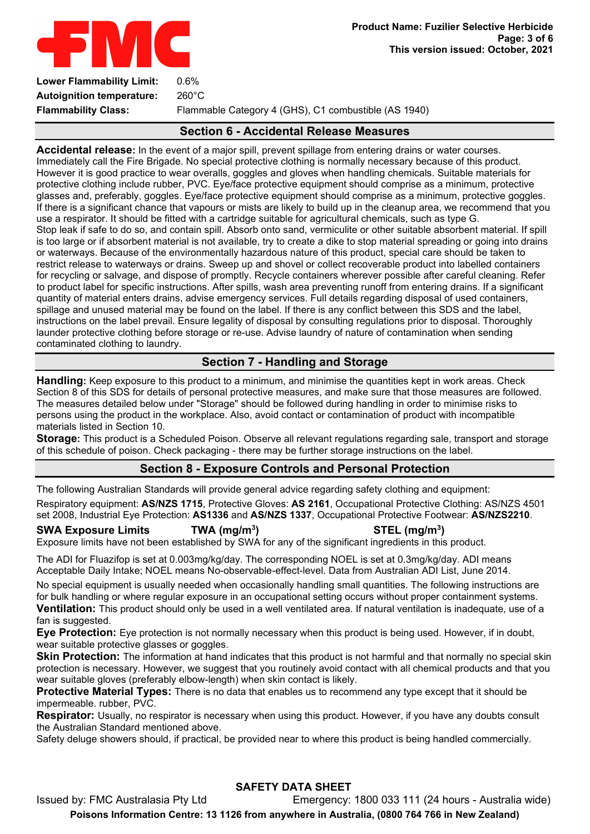

**Autoignition temperature:** 260°C **Flammability Class:** Flammable Category 4 (GHS), C1 combustible (AS 1940)

# **Section 6 - Accidental Release Measures**

**Accidental release:** In the event of a major spill, prevent spillage from entering drains or water courses. Immediately call the Fire Brigade. No special protective clothing is normally necessary because of this product. However it is good practice to wear overalls, goggles and gloves when handling chemicals. Suitable materials for protective clothing include rubber, PVC. Eye/face protective equipment should comprise as a minimum, protective glasses and, preferably, goggles. Eye/face protective equipment should comprise as a minimum, protective goggles. If there is a significant chance that vapours or mists are likely to build up in the cleanup area, we recommend that you use a respirator. It should be fitted with a cartridge suitable for agricultural chemicals, such as type G. Stop leak if safe to do so, and contain spill. Absorb onto sand, vermiculite or other suitable absorbent material. If spill is too large or if absorbent material is not available, try to create a dike to stop material spreading or going into drains or waterways. Because of the environmentally hazardous nature of this product, special care should be taken to restrict release to waterways or drains. Sweep up and shovel or collect recoverable product into labelled containers for recycling or salvage, and dispose of promptly. Recycle containers wherever possible after careful cleaning. Refer to product label for specific instructions. After spills, wash area preventing runoff from entering drains. If a significant quantity of material enters drains, advise emergency services. Full details regarding disposal of used containers, spillage and unused material may be found on the label. If there is any conflict between this SDS and the label, instructions on the label prevail. Ensure legality of disposal by consulting regulations prior to disposal. Thoroughly launder protective clothing before storage or re-use. Advise laundry of nature of contamination when sending contaminated clothing to laundry.

# **Section 7 - Handling and Storage**

**Handling:** Keep exposure to this product to a minimum, and minimise the quantities kept in work areas. Check Section 8 of this SDS for details of personal protective measures, and make sure that those measures are followed. The measures detailed below under "Storage" should be followed during handling in order to minimise risks to persons using the product in the workplace. Also, avoid contact or contamination of product with incompatible materials listed in Section 10.

**Storage:** This product is a Scheduled Poison. Observe all relevant regulations regarding sale, transport and storage of this schedule of poison. Check packaging - there may be further storage instructions on the label.

## **Section 8 - Exposure Controls and Personal Protection**

The following Australian Standards will provide general advice regarding safety clothing and equipment:

Respiratory equipment: **AS/NZS 1715**, Protective Gloves: **AS 2161**, Occupational Protective Clothing: AS/NZS 4501 set 2008, Industrial Eye Protection: **AS1336** and **AS/NZS 1337**, Occupational Protective Footwear: **AS/NZS2210**.

**SWA Exposure Limits TWA (mg/m3**

# **) STEL (mg/m3 )**

Exposure limits have not been established by SWA for any of the significant ingredients in this product.

The ADI for Fluazifop is set at 0.003mg/kg/day. The corresponding NOEL is set at 0.3mg/kg/day. ADI means Acceptable Daily Intake; NOEL means No-observable-effect-level. Data from Australian ADI List, June 2014.

No special equipment is usually needed when occasionally handling small quantities. The following instructions are for bulk handling or where regular exposure in an occupational setting occurs without proper containment systems. **Ventilation:** This product should only be used in a well ventilated area. If natural ventilation is inadequate, use of a fan is suggested.

**Eye Protection:** Eye protection is not normally necessary when this product is being used. However, if in doubt, wear suitable protective glasses or goggles.

**Skin Protection:** The information at hand indicates that this product is not harmful and that normally no special skin protection is necessary. However, we suggest that you routinely avoid contact with all chemical products and that you wear suitable gloves (preferably elbow-length) when skin contact is likely.

**Protective Material Types:** There is no data that enables us to recommend any type except that it should be impermeable. rubber, PVC.

**Respirator:** Usually, no respirator is necessary when using this product. However, if you have any doubts consult the Australian Standard mentioned above.

Safety deluge showers should, if practical, be provided near to where this product is being handled commercially.

# **SAFETY DATA SHEET**

Issued by: FMC Australasia Pty Ltd Emergency: 1800 033 111 (24 hours - Australia wide) **Poisons Information Centre: 13 1126 from anywhere in Australia, (0800 764 766 in New Zealand)**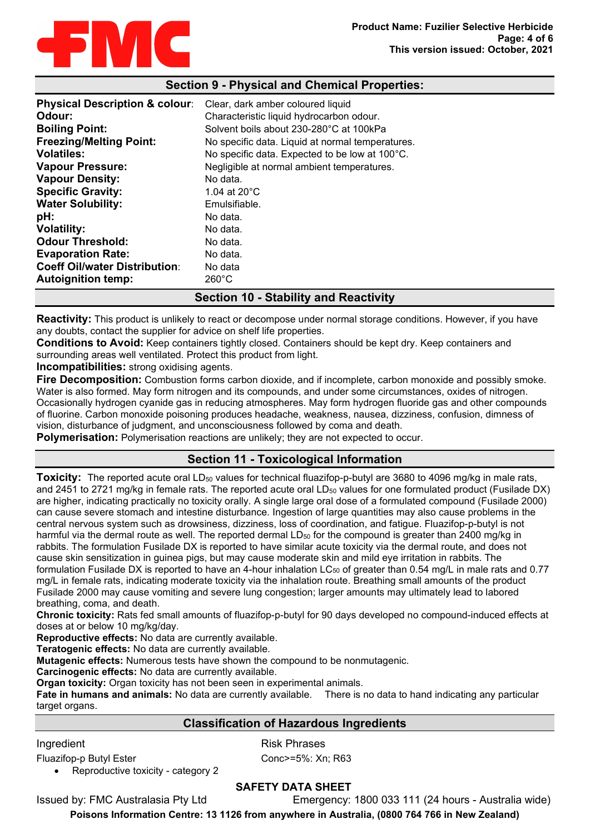

## **Section 9 - Physical and Chemical Properties:**

| <b>Physical Description &amp; colour:</b><br>Odour:<br><b>Boiling Point:</b><br><b>Freezing/Melting Point:</b><br><b>Volatiles:</b> | Clear, dark amber coloured liquid<br>Characteristic liquid hydrocarbon odour.<br>Solvent boils about 230-280°C at 100kPa<br>No specific data. Liquid at normal temperatures.<br>No specific data. Expected to be low at 100°C. |
|-------------------------------------------------------------------------------------------------------------------------------------|--------------------------------------------------------------------------------------------------------------------------------------------------------------------------------------------------------------------------------|
| <b>Vapour Pressure:</b>                                                                                                             | Negligible at normal ambient temperatures.                                                                                                                                                                                     |
| <b>Vapour Density:</b>                                                                                                              | No data.                                                                                                                                                                                                                       |
| <b>Specific Gravity:</b>                                                                                                            | 1.04 at $20^{\circ}$ C                                                                                                                                                                                                         |
| <b>Water Solubility:</b>                                                                                                            | Emulsifiable.                                                                                                                                                                                                                  |
| pH:                                                                                                                                 | No data.                                                                                                                                                                                                                       |
| <b>Volatility:</b>                                                                                                                  | No data.                                                                                                                                                                                                                       |
| <b>Odour Threshold:</b>                                                                                                             | No data.                                                                                                                                                                                                                       |
| <b>Evaporation Rate:</b>                                                                                                            | No data.                                                                                                                                                                                                                       |
| <b>Coeff Oil/water Distribution:</b>                                                                                                | No data                                                                                                                                                                                                                        |
| <b>Autoignition temp:</b>                                                                                                           | $260^{\circ}$ C                                                                                                                                                                                                                |

## **Section 10 - Stability and Reactivity**

**Reactivity:** This product is unlikely to react or decompose under normal storage conditions. However, if you have any doubts, contact the supplier for advice on shelf life properties.

**Conditions to Avoid:** Keep containers tightly closed. Containers should be kept dry. Keep containers and surrounding areas well ventilated. Protect this product from light.

**Incompatibilities:** strong oxidising agents.

**Fire Decomposition:** Combustion forms carbon dioxide, and if incomplete, carbon monoxide and possibly smoke. Water is also formed. May form nitrogen and its compounds, and under some circumstances, oxides of nitrogen. Occasionally hydrogen cyanide gas in reducing atmospheres. May form hydrogen fluoride gas and other compounds of fluorine. Carbon monoxide poisoning produces headache, weakness, nausea, dizziness, confusion, dimness of vision, disturbance of judgment, and unconsciousness followed by coma and death.

**Polymerisation:** Polymerisation reactions are unlikely; they are not expected to occur.

## **Section 11 - Toxicological Information**

**Toxicity:** The reported acute oral LD<sub>50</sub> values for technical fluazifop-p-butyl are 3680 to 4096 mg/kg in male rats, and 2451 to 2721 mg/kg in female rats. The reported acute oral LD<sub>50</sub> values for one formulated product (Fusilade DX) are higher, indicating practically no toxicity orally. A single large oral dose of a formulated compound (Fusilade 2000) can cause severe stomach and intestine disturbance. Ingestion of large quantities may also cause problems in the central nervous system such as drowsiness, dizziness, loss of coordination, and fatigue. Fluazifop-p-butyl is not harmful via the dermal route as well. The reported dermal LD<sub>50</sub> for the compound is greater than 2400 mg/kg in rabbits. The formulation Fusilade DX is reported to have similar acute toxicity via the dermal route, and does not cause skin sensitization in guinea pigs, but may cause moderate skin and mild eye irritation in rabbits. The formulation Fusilade DX is reported to have an 4-hour inhalation  $LC_{50}$  of greater than 0.54 mg/L in male rats and 0.77 mg/L in female rats, indicating moderate toxicity via the inhalation route. Breathing small amounts of the product Fusilade 2000 may cause vomiting and severe lung congestion; larger amounts may ultimately lead to labored breathing, coma, and death.

**Chronic toxicity:** Rats fed small amounts of fluazifop-p-butyl for 90 days developed no compound-induced effects at doses at or below 10 mg/kg/day.

**Reproductive effects:** No data are currently available.

**Teratogenic effects:** No data are currently available.

**Mutagenic effects:** Numerous tests have shown the compound to be nonmutagenic.

**Carcinogenic effects:** No data are currently available.

**Organ toxicity:** Organ toxicity has not been seen in experimental animals.

**Fate in humans and animals:** No data are currently available. There is no data to hand indicating any particular target organs.

## **Classification of Hazardous Ingredients**

Fluazifop-p Butyl Ester Conc>=5%: Xn; R63

• Reproductive toxicity - category 2

Ingredient **Risk Phrases** 

**SAFETY DATA SHEET**

Issued by: FMC Australasia Pty Ltd Emergency: 1800 033 111 (24 hours - Australia wide)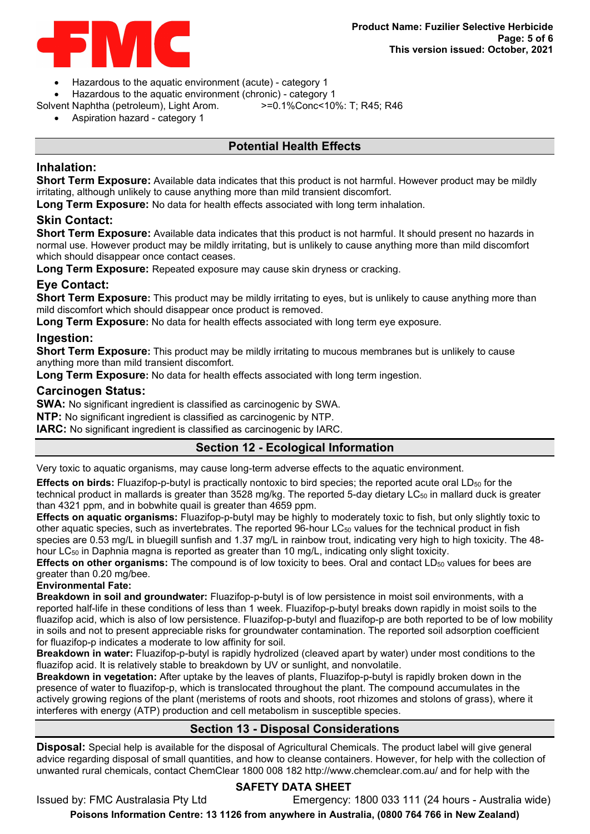

- Hazardous to the aquatic environment (acute) category 1
- 
- Hazardous to the aquatic environment (chronic) category 1 Solvent Naphtha (petroleum), Light Arom.
	- Aspiration hazard category 1

## **Potential Health Effects**

## **Inhalation:**

**Short Term Exposure:** Available data indicates that this product is not harmful. However product may be mildly irritating, although unlikely to cause anything more than mild transient discomfort.

**Long Term Exposure:** No data for health effects associated with long term inhalation.

## **Skin Contact:**

**Short Term Exposure:** Available data indicates that this product is not harmful. It should present no hazards in normal use. However product may be mildly irritating, but is unlikely to cause anything more than mild discomfort which should disappear once contact ceases.

**Long Term Exposure:** Repeated exposure may cause skin dryness or cracking.

## **Eye Contact:**

**Short Term Exposure:** This product may be mildly irritating to eyes, but is unlikely to cause anything more than mild discomfort which should disappear once product is removed.

**Long Term Exposure:** No data for health effects associated with long term eye exposure.

## **Ingestion:**

**Short Term Exposure:** This product may be mildly irritating to mucous membranes but is unlikely to cause anything more than mild transient discomfort.

**Long Term Exposure:** No data for health effects associated with long term ingestion.

## **Carcinogen Status:**

**SWA:** No significant ingredient is classified as carcinogenic by SWA.

**NTP:** No significant ingredient is classified as carcinogenic by NTP.

**IARC:** No significant ingredient is classified as carcinogenic by IARC.

## **Section 12 - Ecological Information**

Very toxic to aquatic organisms, may cause long-term adverse effects to the aquatic environment.

**Effects on birds:** Fluazifop-p-butyl is practically nontoxic to bird species; the reported acute oral LD<sub>50</sub> for the technical product in mallards is greater than  $3528$  mg/kg. The reported 5-day dietary LC<sub>50</sub> in mallard duck is greater than 4321 ppm, and in bobwhite quail is greater than 4659 ppm.

**Effects on aquatic organisms:** Fluazifop-p-butyl may be highly to moderately toxic to fish, but only slightly toxic to other aquatic species, such as invertebrates. The reported 96-hour  $LC_{50}$  values for the technical product in fish species are 0.53 mg/L in bluegill sunfish and 1.37 mg/L in rainbow trout, indicating very high to high toxicity. The 48 hour LC<sub>50</sub> in Daphnia magna is reported as greater than 10 mg/L, indicating only slight toxicity.

**Effects on other organisms:** The compound is of low toxicity to bees. Oral and contact LD<sub>50</sub> values for bees are greater than 0.20 mg/bee.

#### **Environmental Fate:**

**Breakdown in soil and groundwater:** Fluazifop-p-butyl is of low persistence in moist soil environments, with a reported half-life in these conditions of less than 1 week. Fluazifop-p-butyl breaks down rapidly in moist soils to the fluazifop acid, which is also of low persistence. Fluazifop-p-butyl and fluazifop-p are both reported to be of low mobility in soils and not to present appreciable risks for groundwater contamination. The reported soil adsorption coefficient for fluazifop-p indicates a moderate to low affinity for soil.

**Breakdown in water:** Fluazifop-p-butyl is rapidly hydrolized (cleaved apart by water) under most conditions to the fluazifop acid. It is relatively stable to breakdown by UV or sunlight, and nonvolatile.

**Breakdown in vegetation:** After uptake by the leaves of plants, Fluazifop-p-butyl is rapidly broken down in the presence of water to fluazifop-p, which is translocated throughout the plant. The compound accumulates in the actively growing regions of the plant (meristems of roots and shoots, root rhizomes and stolons of grass), where it interferes with energy (ATP) production and cell metabolism in susceptible species.

## **Section 13 - Disposal Considerations**

**Disposal:** Special help is available for the disposal of Agricultural Chemicals. The product label will give general advice regarding disposal of small quantities, and how to cleanse containers. However, for help with the collection of unwanted rural chemicals, contact ChemClear 1800 008 182 http://www.chemclear.com.au/ and for help with the

# **SAFETY DATA SHEET**

Issued by: FMC Australasia Pty Ltd Emergency: 1800 033 111 (24 hours - Australia wide)